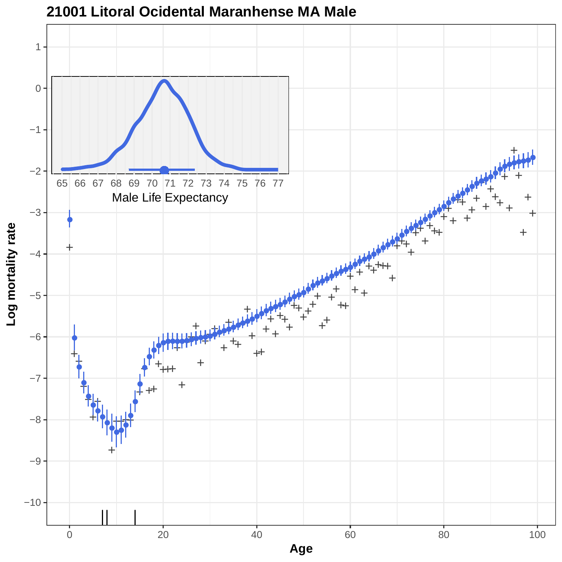

**21001 Litoral Ocidental Maranhense MA Male**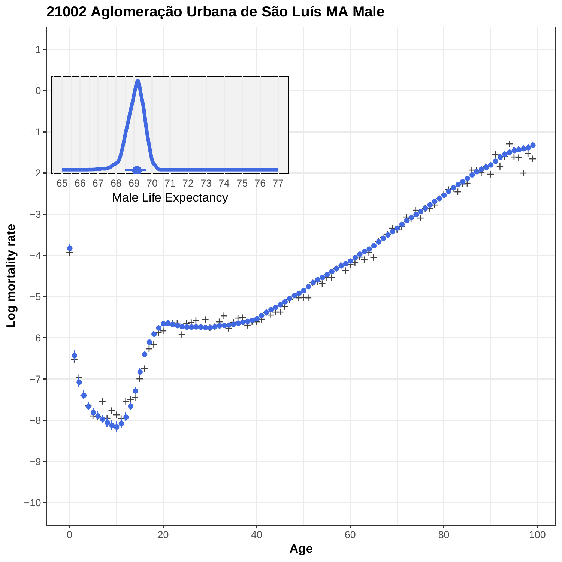

**21002 Aglomeração Urbana de São Luís MA Male**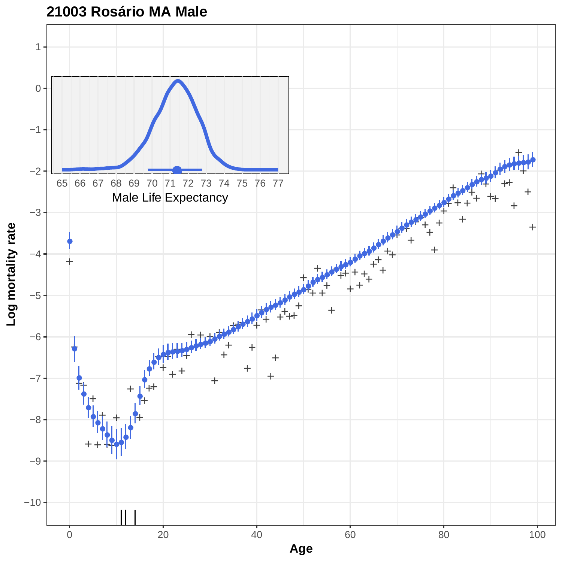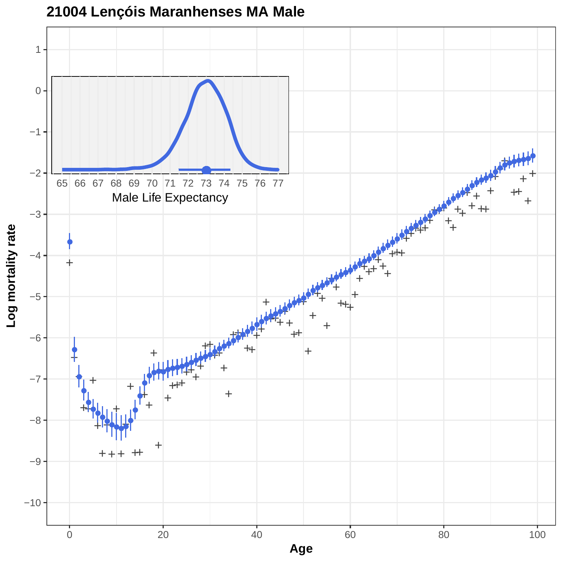

**<sup>21004</sup> Lençóis Maranhenses MA Male**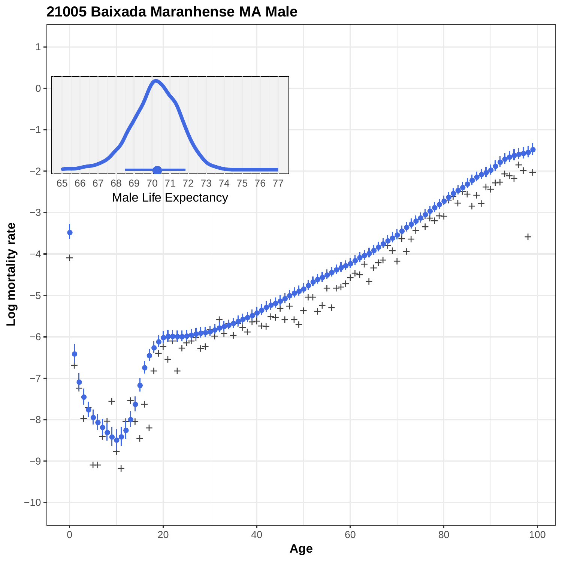

#### **21005 Baixada Maranhense MA Male**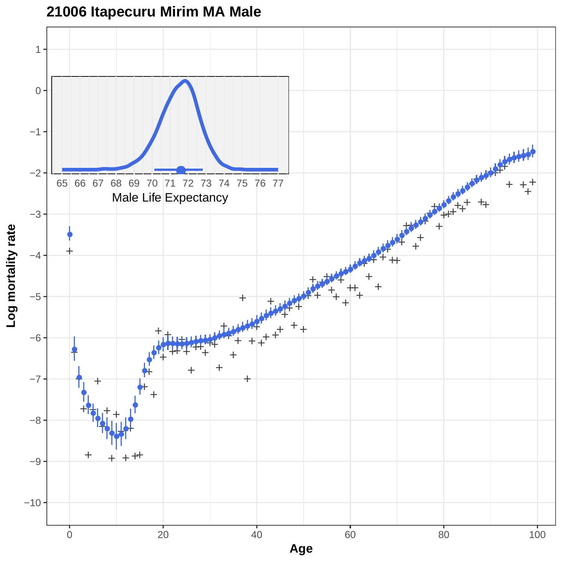

### **21006 Itapecuru Mirim MA Male**

**Log mortality rate**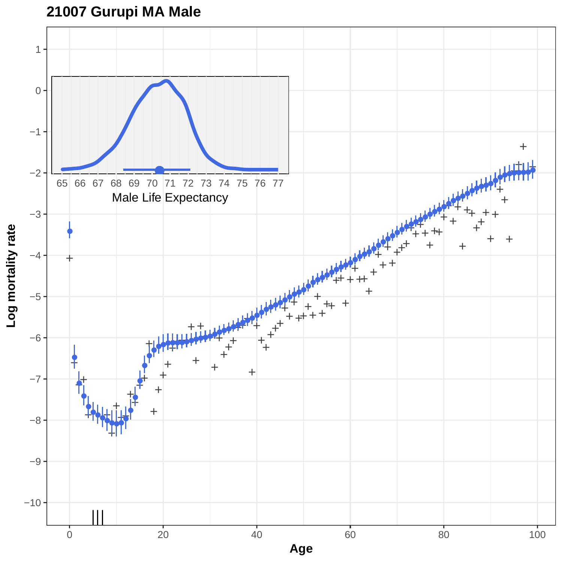# **21007 Gurupi MA Male**

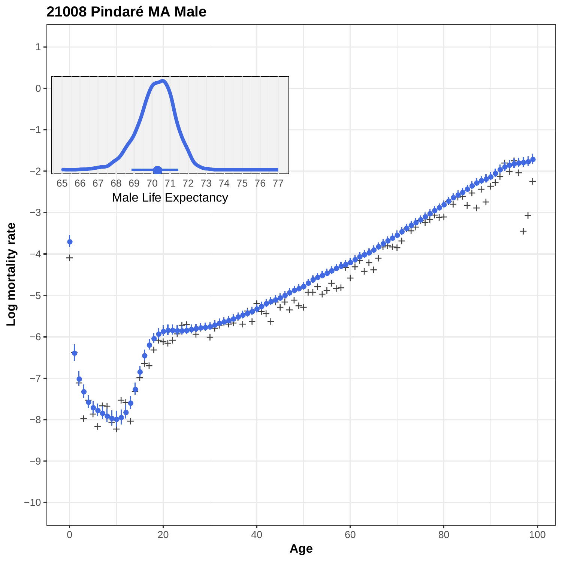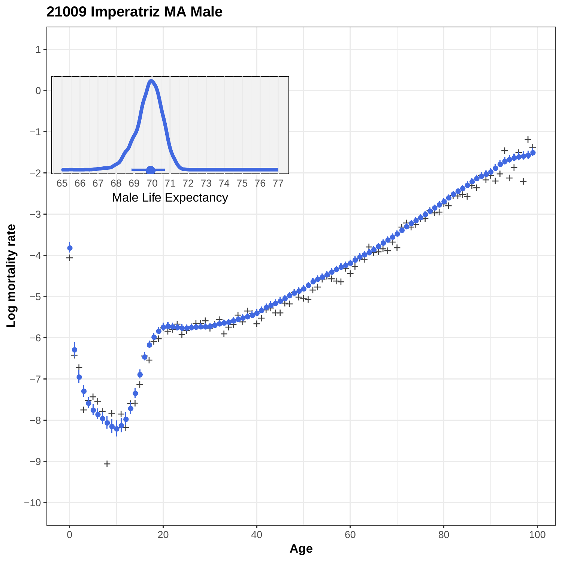

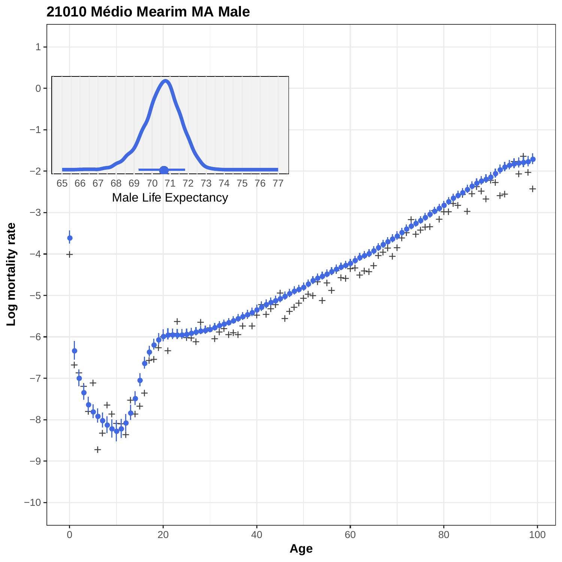

## **21010 Médio Mearim MA Male**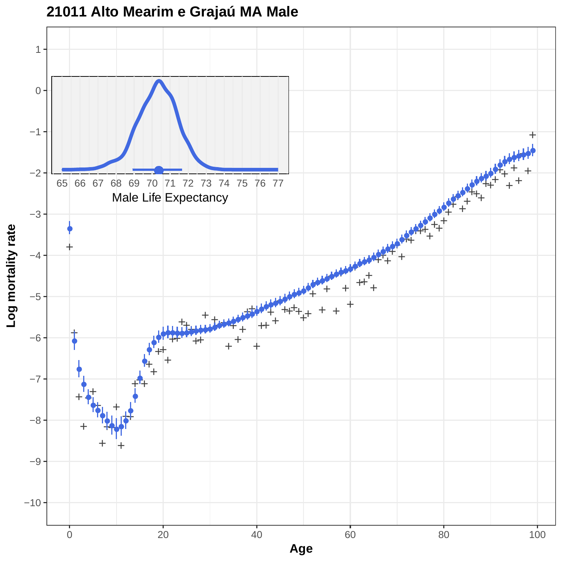

**21011 Alto Mearim e Grajaú MA Male**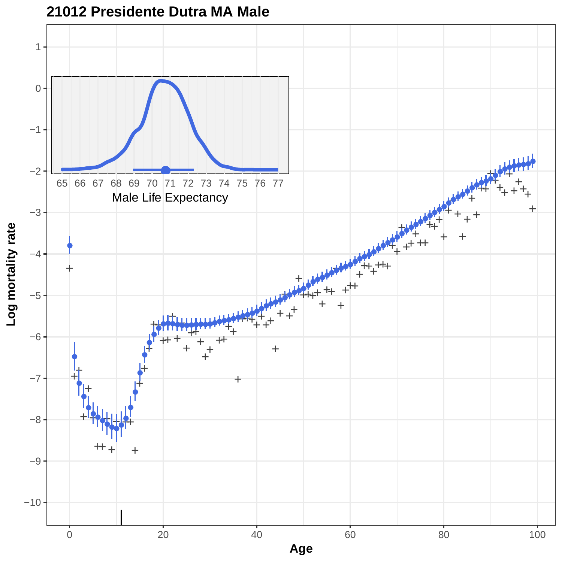

**21012 Presidente Dutra MA Male**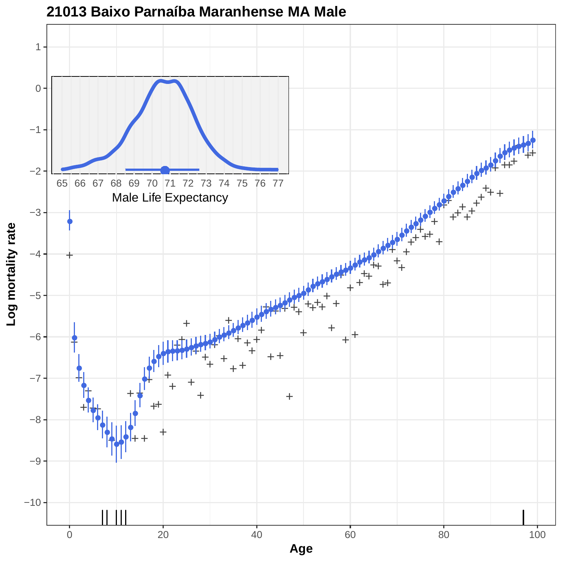

**21013 Baixo Parnaíba Maranhense MA Male**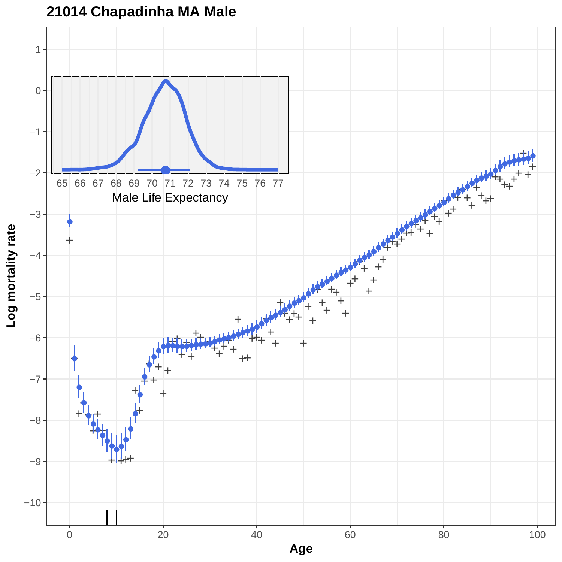

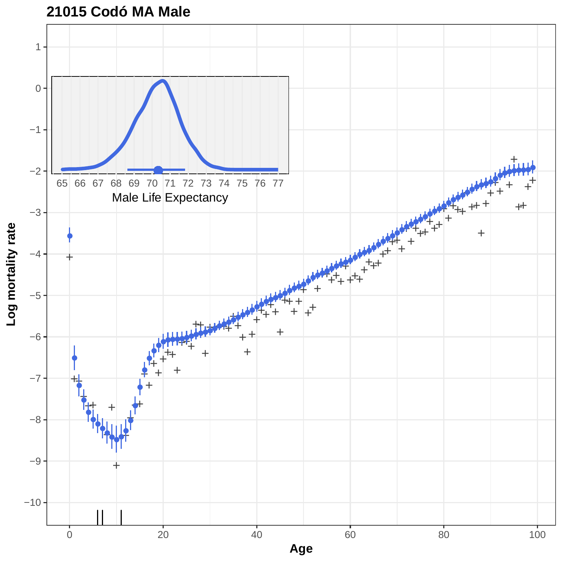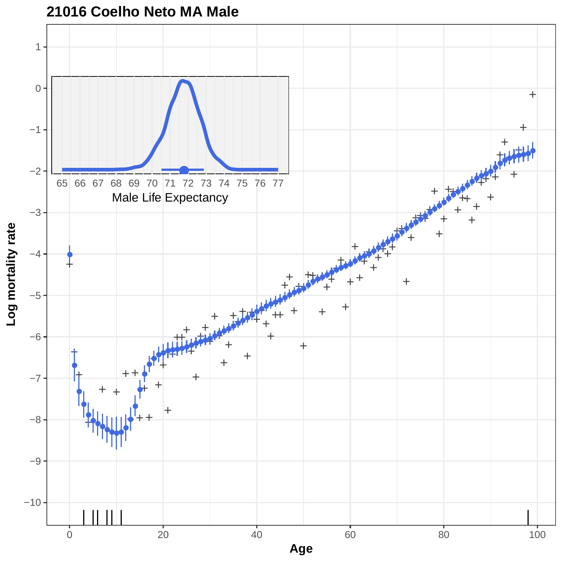

# **21016 Coelho Neto MA Male**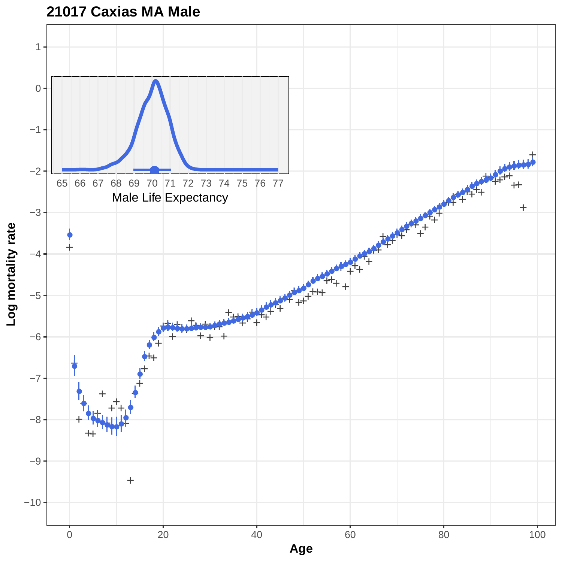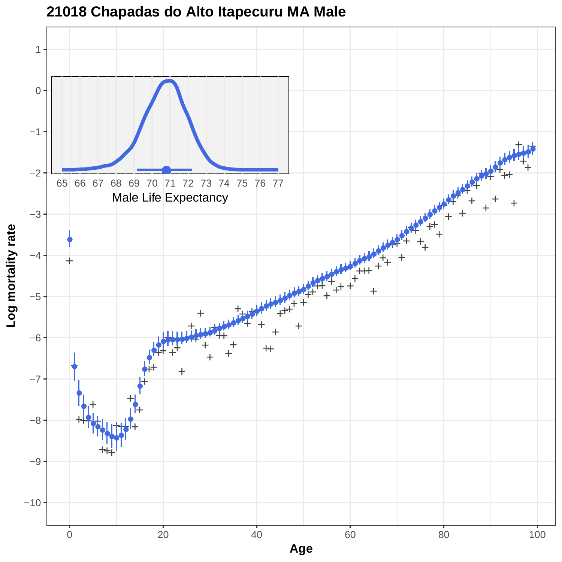

**21018 Chapadas do Alto Itapecuru MA Male**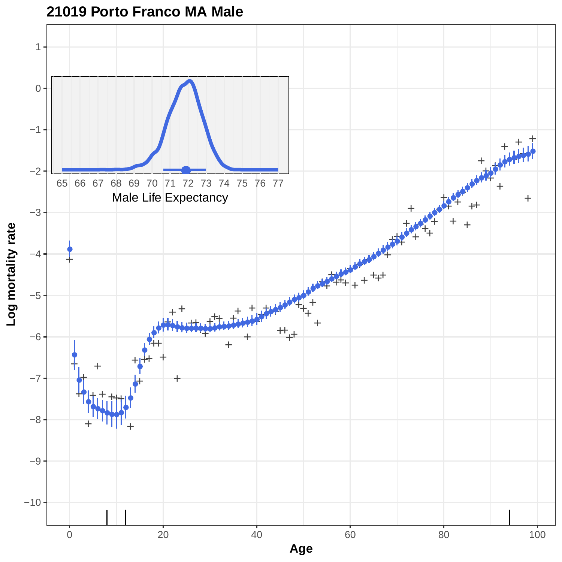

## **21019 Porto Franco MA Male**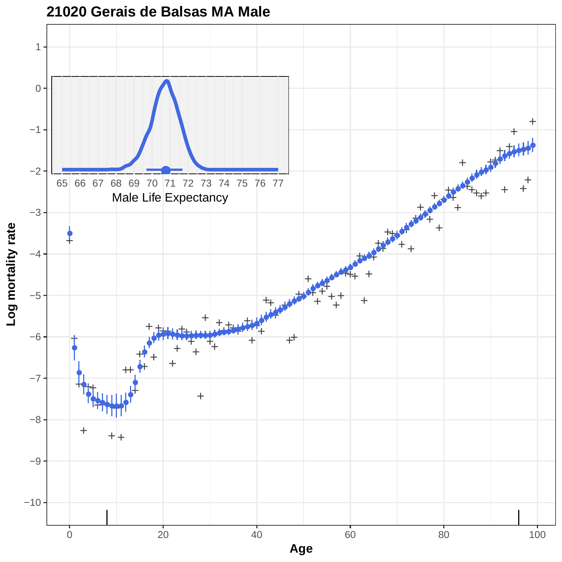